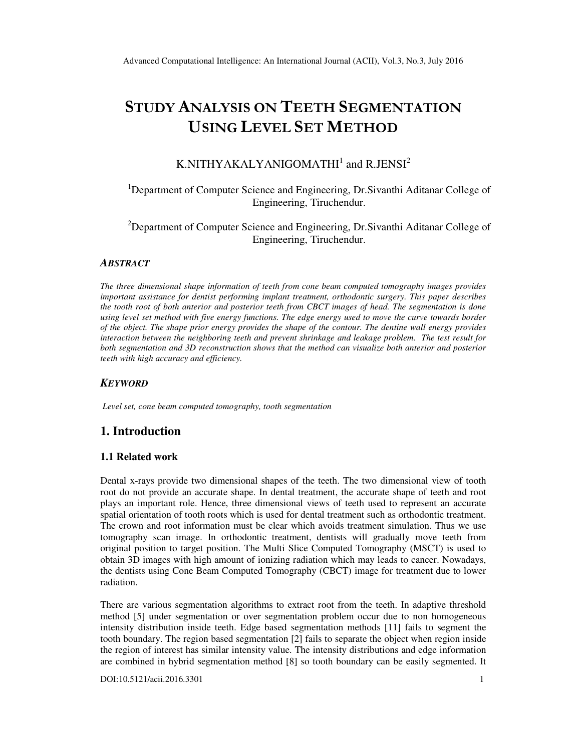# STUDY ANALYSIS ON TEETH SEGMENTATION USING LEVEL SET METHOD

# K.NITHYAKALYANIGOMATHI $^1$  and R.JENSI $^2$

# <sup>1</sup>Department of Computer Science and Engineering, Dr.Sivanthi Aditanar College of Engineering, Tiruchendur.

<sup>2</sup>Department of Computer Science and Engineering, Dr.Sivanthi Aditanar College of Engineering, Tiruchendur.

#### *ABSTRACT*

*The three dimensional shape information of teeth from cone beam computed tomography images provides important assistance for dentist performing implant treatment, orthodontic surgery. This paper describes the tooth root of both anterior and posterior teeth from CBCT images of head. The segmentation is done using level set method with five energy functions. The edge energy used to move the curve towards border of the object. The shape prior energy provides the shape of the contour. The dentine wall energy provides interaction between the neighboring teeth and prevent shrinkage and leakage problem. The test result for both segmentation and 3D reconstruction shows that the method can visualize both anterior and posterior teeth with high accuracy and efficiency.* 

#### *KEYWORD*

*Level set, cone beam computed tomography, tooth segmentation* 

# **1. Introduction**

#### **1.1 Related work**

Dental x-rays provide two dimensional shapes of the teeth. The two dimensional view of tooth root do not provide an accurate shape. In dental treatment, the accurate shape of teeth and root plays an important role. Hence, three dimensional views of teeth used to represent an accurate spatial orientation of tooth roots which is used for dental treatment such as orthodontic treatment. The crown and root information must be clear which avoids treatment simulation. Thus we use tomography scan image. In orthodontic treatment, dentists will gradually move teeth from original position to target position. The Multi Slice Computed Tomography (MSCT) is used to obtain 3D images with high amount of ionizing radiation which may leads to cancer. Nowadays, the dentists using Cone Beam Computed Tomography (CBCT) image for treatment due to lower radiation.

There are various segmentation algorithms to extract root from the teeth. In adaptive threshold method [5] under segmentation or over segmentation problem occur due to non homogeneous intensity distribution inside teeth. Edge based segmentation methods [11] fails to segment the tooth boundary. The region based segmentation [2] fails to separate the object when region inside the region of interest has similar intensity value. The intensity distributions and edge information are combined in hybrid segmentation method [8] so tooth boundary can be easily segmented. It

DOI:10.5121/acii.2016.3301 1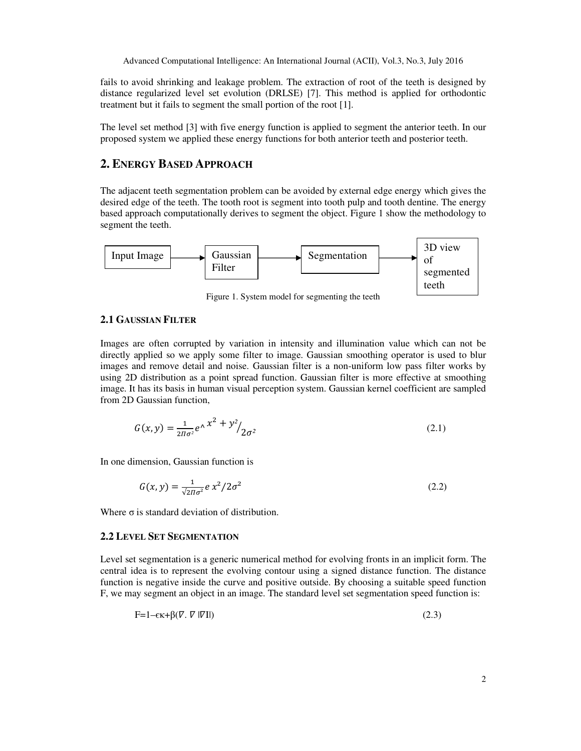fails to avoid shrinking and leakage problem. The extraction of root of the teeth is designed by distance regularized level set evolution (DRLSE) [7]. This method is applied for orthodontic treatment but it fails to segment the small portion of the root [1].

The level set method [3] with five energy function is applied to segment the anterior teeth. In our proposed system we applied these energy functions for both anterior teeth and posterior teeth.

# **2. ENERGY BASED APPROACH**

The adjacent teeth segmentation problem can be avoided by external edge energy which gives the desired edge of the teeth. The tooth root is segment into tooth pulp and tooth dentine. The energy based approach computationally derives to segment the object. Figure 1 show the methodology to segment the teeth.



Figure 1. System model for segmenting the teeth

#### **2.1 GAUSSIAN FILTER**

Images are often corrupted by variation in intensity and illumination value which can not be directly applied so we apply some filter to image. Gaussian smoothing operator is used to blur images and remove detail and noise. Gaussian filter is a non-uniform low pass filter works by using 2D distribution as a point spread function. Gaussian filter is more effective at smoothing image. It has its basis in human visual perception system. Gaussian kernel coefficient are sampled from 2D Gaussian function,

$$
G(x, y) = \frac{1}{2\pi\sigma^2} e^{\Lambda x^2 + y^2} / 2\sigma^2
$$
 (2.1)

In one dimension, Gaussian function is

$$
G(x, y) = \frac{1}{\sqrt{2\pi\sigma^2}} e x^2 / 2\sigma^2
$$
 (2.2)

Where  $\sigma$  is standard deviation of distribution.

# **2.2 LEVEL SET SEGMENTATION**

Level set segmentation is a generic numerical method for evolving fronts in an implicit form. The central idea is to represent the evolving contour using a signed distance function. The distance function is negative inside the curve and positive outside. By choosing a suitable speed function F, we may segment an object in an image. The standard level set segmentation speed function is:

$$
F=1-\epsilon \kappa + \beta (V. \ V \ |VII) \tag{2.3}
$$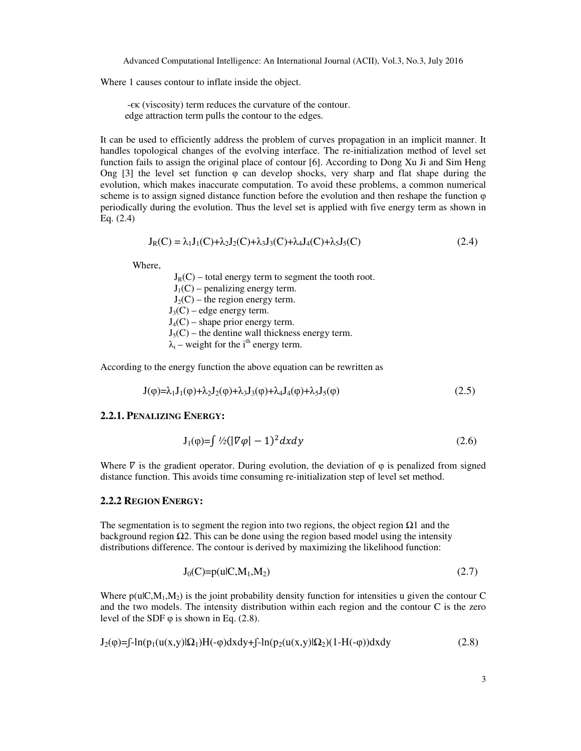Where 1 causes contour to inflate inside the object.

 -єκ (viscosity) term reduces the curvature of the contour. edge attraction term pulls the contour to the edges.

It can be used to efficiently address the problem of curves propagation in an implicit manner. It handles topological changes of the evolving interface. The re-initialization method of level set function fails to assign the original place of contour [6]. According to Dong Xu Ji and Sim Heng Ong [3] the level set function  $\varphi$  can develop shocks, very sharp and flat shape during the evolution, which makes inaccurate computation. To avoid these problems, a common numerical scheme is to assign signed distance function before the evolution and then reshape the function  $\varphi$ periodically during the evolution. Thus the level set is applied with five energy term as shown in Eq. (2.4)

$$
J_R(C) = \lambda_1 J_1(C) + \lambda_2 J_2(C) + \lambda_3 J_3(C) + \lambda_4 J_4(C) + \lambda_5 J_5(C)
$$
\n(2.4)

Where,

 $J_R(C)$  – total energy term to segment the tooth root.  $J_1(C)$  – penalizing energy term.  $J_2(C)$  – the region energy term.  $J_3(C)$  – edge energy term.  $J_4(C)$  – shape prior energy term.  $J_5(C)$  – the dentine wall thickness energy term.  $\lambda_i$  $\lambda_i$  – weight for the i<sup>th</sup> energy term.

According to the energy function the above equation can be rewritten as

$$
J(\varphi) = \lambda_1 J_1(\varphi) + \lambda_2 J_2(\varphi) + \lambda_3 J_3(\varphi) + \lambda_4 J_4(\varphi) + \lambda_5 J_5(\varphi)
$$
\n(2.5)

#### **2.2.1. PENALIZING ENERGY:**

$$
J_1(\varphi) = \int \frac{1}{2} \left( |\nabla \varphi| - 1 \right)^2 dx dy \tag{2.6}
$$

Where  $\nabla$  is the gradient operator. During evolution, the deviation of  $\varphi$  is penalized from signed distance function. This avoids time consuming re-initialization step of level set method.

#### **2.2.2 REGION ENERGY:**

The segmentation is to segment the region into two regions, the object region  $\Omega_1$  and the background region  $\Omega$ . This can be done using the region based model using the intensity distributions difference. The contour is derived by maximizing the likelihood function:

$$
J_0(C)=p(u|C,M_1,M_2)
$$
\n
$$
(2.7)
$$

Where  $p(u|C,M_1,M_2)$  is the joint probability density function for intensities u given the contour C and the two models. The intensity distribution within each region and the contour C is the zero level of the SDF  $\varphi$  is shown in Eq. (2.8).

$$
J_2(\varphi) = \int -\ln(p_1(u(x,y))\Omega_1)H(-\varphi)dx dy + \int -\ln(p_2(u(x,y))\Omega_2)(1-H(-\varphi))dxdy
$$
\n(2.8)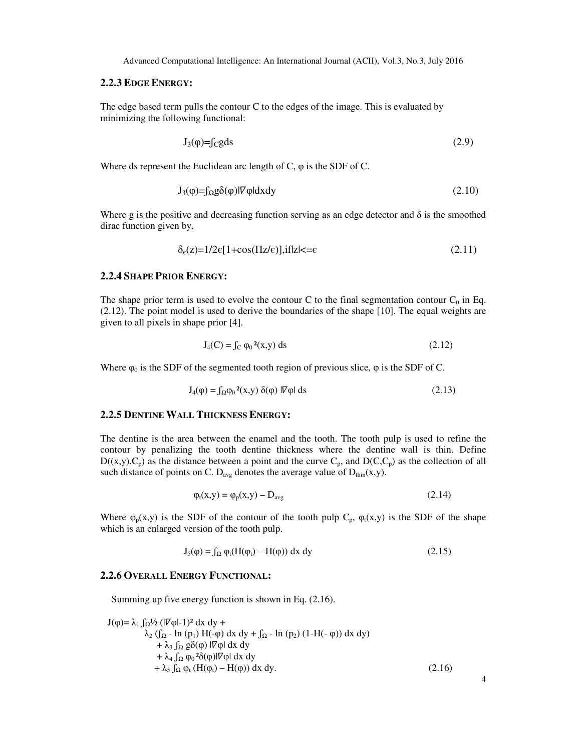#### **2.2.3 EDGE ENERGY:**

The edge based term pulls the contour C to the edges of the image. This is evaluated by minimizing the following functional:

$$
J_3(\varphi) = f_C g ds \tag{2.9}
$$

Where ds represent the Euclidean arc length of C, φ is the SDF of C.

$$
J_3(\varphi) = \int_{\Omega} g \delta(\varphi) | \nabla \varphi| dxdy \tag{2.10}
$$

Where g is the positive and decreasing function serving as an edge detector and  $\delta$  is the smoothed dirac function given by,

$$
\delta_{\epsilon}(z) = 1/2\epsilon[1 + \cos(\Pi z/\epsilon)], \text{if } |z| < = \epsilon \tag{2.11}
$$

### **2.2.4 SHAPE PRIOR ENERGY:**

The shape prior term is used to evolve the contour C to the final segmentation contour  $C_0$  in Eq. (2.12). The point model is used to derive the boundaries of the shape [10]. The equal weights are given to all pixels in shape prior [4].

$$
J_4(C) = \int_C \varphi_0^2(x, y) \, ds \tag{2.12}
$$

Where  $\varphi_0$  is the SDF of the segmented tooth region of previous slice,  $\varphi$  is the SDF of C.

$$
J_4(\phi) = \int_{\Omega} \phi_0^2(x, y) \, \delta(\phi) \, |\nabla \phi| \, ds \tag{2.13}
$$

# **2.2.5 DENTINE WALL THICKNESS ENERGY:**

The dentine is the area between the enamel and the tooth. The tooth pulp is used to refine the contour by penalizing the tooth dentine thickness where the dentine wall is thin. Define  $D((x,y),C_p)$  as the distance between a point and the curve  $C_p$ , and  $D(C,C_p)$  as the collection of all such distance of points on C. D<sub>avg</sub> denotes the average value of  $D_{thin}(x,y)$ .

$$
\varphi_t(x, y) = \varphi_p(x, y) - D_{avg} \tag{2.14}
$$

Where  $\varphi_p(x,y)$  is the SDF of the contour of the tooth pulp  $C_p$ ,  $\varphi_t(x,y)$  is the SDF of the shape which is an enlarged version of the tooth pulp.

$$
J_5(\phi) = \int_{\Omega} \phi_t(H(\phi_t) - H(\phi)) dx dy
$$
 (2.15)

4

#### **2.2.6 OVERALL ENERGY FUNCTIONAL:**

Summing up five energy function is shown in Eq. (2.16).

$$
J(\varphi) = \lambda_1 \int_{\Omega} J_2 \left( |V \varphi| - 1 \right)^2 dx dy +
$$
  
\n
$$
\lambda_2 \left( \int_{\Omega} - \ln (p_1) H(-\varphi) dx dy + \int_{\Omega} - \ln (p_2) (1 - H(-\varphi)) dx dy \right) + \lambda_3 \int_{\Omega} g \delta(\varphi) |V \varphi| dx dy
$$
  
\n
$$
+ \lambda_4 \int_{\Omega} \varphi_0^2 \delta(\varphi) |V \varphi| dx dy + \lambda_5 \int_{\Omega} \varphi_t (H(\varphi_t) - H(\varphi)) dx dy.
$$
\n(2.16)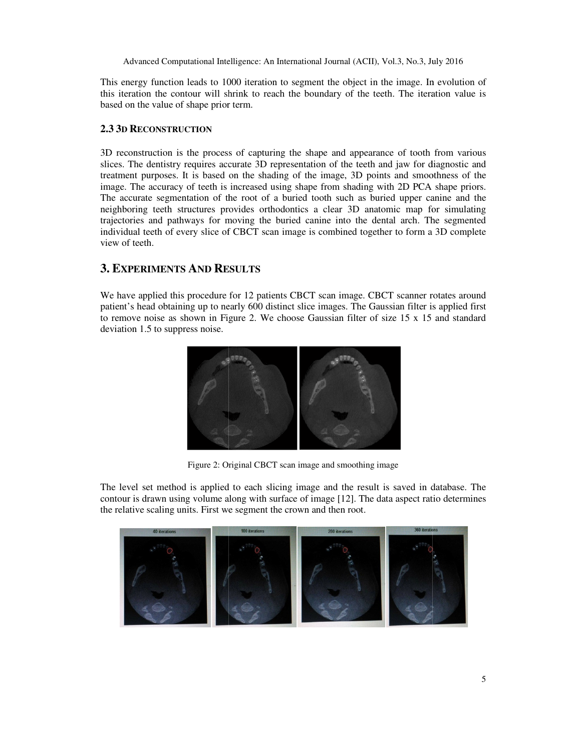This energy function leads to 1000 iteration to segment the object in the image. In evolution of This energy function leads to 1000 iteration to segment the object in the image. In evolution of this iteration the contour will shrink to reach the boundary of the teeth. The iteration value is based on the value of shape prior term.

#### **2.3 3D RECONSTRUCTION**

3D reconstruction is the process of capturing the shape and appearance of tooth from various slices. The dentistry requires accurate 3D representation of the teeth and jaw for diagnostic and treatment purposes. It is based on the shading of the image, 3D points and smoothness of the image. The accuracy of teeth is increased using shape from shading with 2D PCA shape priors. The accurate segmentation of the root of a buried tooth such as buried upper canine and the The accurate segmentation of the root of a buried tooth such as buried upper canine and the neighboring teeth structures provides orthodontics a clear 3D anatomic map for simulating trajectories and pathways for moving the buried canine into the dental arch. The segmented individual teeth of every slice of CBCT scan image is combined together to form a 3D complete view of teeth. reconstruction is the process of capturing the shape and appearance of tooth from various<br>es. The dentistry requires accurate 3D representation of the teeth and jaw for diagnostic and<br>tment purposes. It is based on the sha the buried canine into the dental arch. The segmented<br>
S scan image is combined together to form a 3D complete<br>
S<br>
S<br>
patients CBCT scanner rotates around , No.3, July 2016<br>mage. In evolution of<br>mage. In evolution of<br>the iteration value is<br>of tooth from various<br>we for diagnostic and<br>demothness of the<br>D PCA shape priors.<br>upper canine and the<br>map for simulating<br>form a 3D compl This energy function leads to 1000 iteration to exgent the object in the image. In evolution of<br>this iteration the contour will shrink to reach the boundary of the teeth. The iteration value is<br>based on the value of shape

# **3. EXPERIMENTS AND RESULTS**

We have applied this procedure for 12 patients CBCT scan image. CBCT scanner rotates around patient's head obtaining up to nearly 600 distinct slice images. The Gaussian filter is applied first to remove noise as shown in Figure 2 2. We choose Gaussian filter of size 15 x 15 and standard deviation 1.5 to suppress noise.



Figure 2: Original CBCT scan image and smoothing image

The level set method is applied to each slicing image and the result is saved in database. The The level set method is applied to each slicing image and the result is saved in database. The contour is drawn using volume along with surface of image [12]. The data aspect ratio determines the relative scaling units. First we segment the crown and then root.

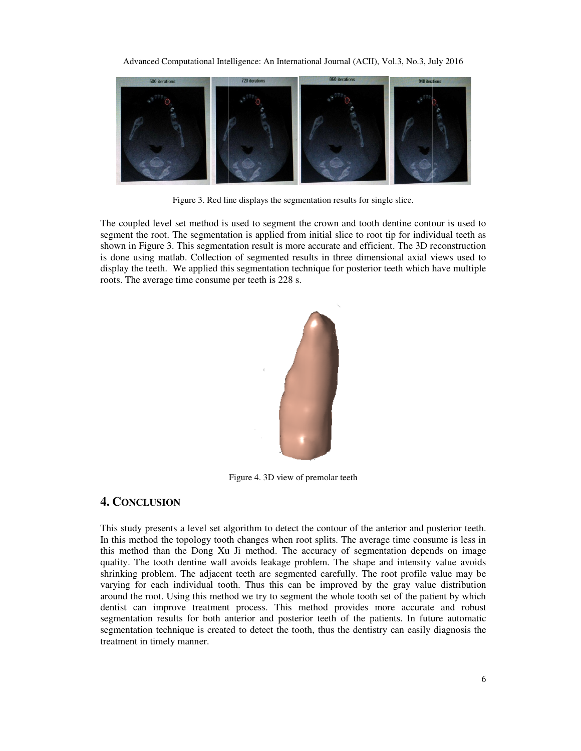Advanced Computational Intelligence: An International Journal (ACII), Vol.3, No.3, July 2016



Figure 3. Red line displays the segmentation results for single slice.

The coupled level set method is used to segment the crown and tooth dentine contour is used to segment the root. The segmentation is applied from initial slice to root tip for individual teeth as The coupled level set method is used to segment the crown and tooth dentine contour is used to segment the root. The segmentation is applied from initial slice to root tip for individual teeth as shown in Figure 3. This se is done using matlab. Collection of segmented results in three dimensional axial views display the teeth. We applied this segmentation technique for posterior teeth which have multiple roots. The average time consume per teeth is 228 s. roots. The average time consume per teeth is 228 s.



Figure 4. 3D view of premolar teeth

# **4. CONCLUSION**

This study presents a level set algorithm to detect the contour of the anterior and posterior teeth. This study presents a level set algorithm to detect the contour of the anterior and posterior teeth.<br>In this method the topology tooth changes when root splits. The average time consume is less in this method than the Dong Xu Ji method. The accuracy of segmentation depends on image quality. The tooth dentine wall avoids leakage problem. The shape and intensity value avoids shrinking problem. The adjacent teeth are segmented carefully. The root profile value may be varying for each individual tooth. Thus this can be improved by the gray value distribution around the root. Using this method we try to segment the whole tooth set of the patient by which dentist can improve treatment process. This method provides more accurate and robust segmentation results for both anterior and posterior teeth of the patients. In future automatic segmentation technique is created to detect the tooth, thus the dentistry can easily diagnosis the treatment in timely manner. each individual tooth. Thus this can be improved by the gray value distribution poot. Using this method we try to segment the whole tooth set of the patient by which improve treatment process. This method provides more acc Computational Intelligence: An International Journal (ACI), Vol.3, No.3, July 2016<br>
The strategy of the strategy of the computation results for single slice,<br>
Figure 3. Real time displays the segmentation results for singl presents a level set algorithm to detect the contour of the anterior and posterior teeth.<br>nod the topology tooth changes when root splits. The average time consume is less in<br>d than the Dong Xu Ji method. The accuracy of s